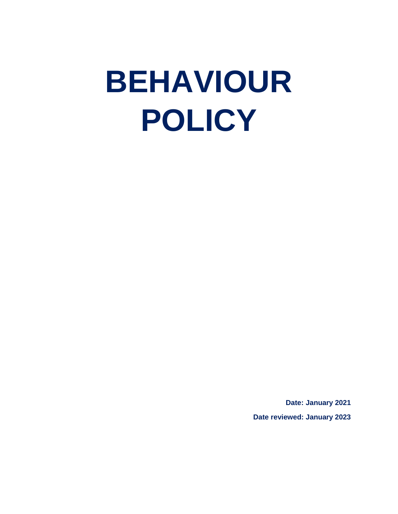# **BEHAVIOUR POLICY**

**Date: January 2021 Date reviewed: January 2023**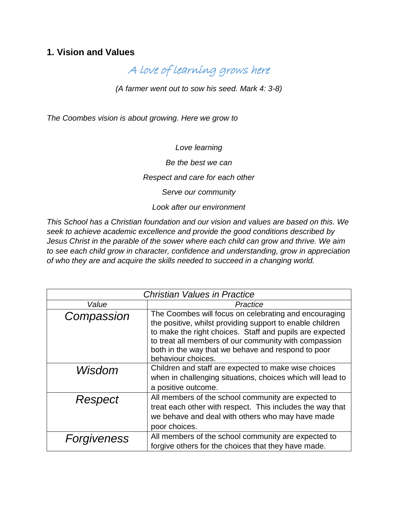# **1. Vision and Values**

A love of learning grows here

*(A farmer went out to sow his seed. Mark 4: 3-8)*

*The Coombes vision is about growing. Here we grow to* 

*Love learning Be the best we can Respect and care for each other Serve our community Look after our environment*

*This School has a Christian foundation and our vision and values are based on this. We seek to achieve academic excellence and provide the good conditions described by Jesus Christ in the parable of the sower where each child can grow and thrive. We aim to see each child grow in character, confidence and understanding, grow in appreciation of who they are and acquire the skills needed to succeed in a changing world.*

| <b>Christian Values in Practice</b> |                                                                                                                                                                                                                                                                                                                     |
|-------------------------------------|---------------------------------------------------------------------------------------------------------------------------------------------------------------------------------------------------------------------------------------------------------------------------------------------------------------------|
| Value                               | Practice                                                                                                                                                                                                                                                                                                            |
| Compassion                          | The Coombes will focus on celebrating and encouraging<br>the positive, whilst providing support to enable children<br>to make the right choices. Staff and pupils are expected<br>to treat all members of our community with compassion<br>both in the way that we behave and respond to poor<br>behaviour choices. |
| Wisdom                              | Children and staff are expected to make wise choices<br>when in challenging situations, choices which will lead to<br>a positive outcome.                                                                                                                                                                           |
| Respect                             | All members of the school community are expected to<br>treat each other with respect. This includes the way that<br>we behave and deal with others who may have made<br>poor choices.                                                                                                                               |
| Forgiveness                         | All members of the school community are expected to<br>forgive others for the choices that they have made.                                                                                                                                                                                                          |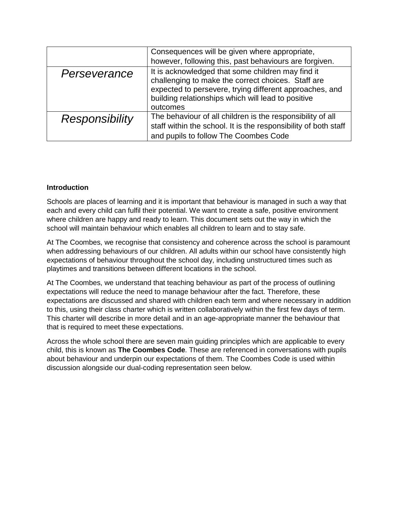|                       | Consequences will be given where appropriate,                   |
|-----------------------|-----------------------------------------------------------------|
|                       | however, following this, past behaviours are forgiven.          |
| Perseverance          | It is acknowledged that some children may find it               |
|                       | challenging to make the correct choices. Staff are              |
|                       | expected to persevere, trying different approaches, and         |
|                       | building relationships which will lead to positive              |
|                       | outcomes                                                        |
| <b>Responsibility</b> | The behaviour of all children is the responsibility of all      |
|                       | staff within the school. It is the responsibility of both staff |
|                       | and pupils to follow The Coombes Code                           |

# **Introduction**

Schools are places of learning and it is important that behaviour is managed in such a way that each and every child can fulfil their potential. We want to create a safe, positive environment where children are happy and ready to learn. This document sets out the way in which the school will maintain behaviour which enables all children to learn and to stay safe.

At The Coombes, we recognise that consistency and coherence across the school is paramount when addressing behaviours of our children. All adults within our school have consistently high expectations of behaviour throughout the school day, including unstructured times such as playtimes and transitions between different locations in the school.

At The Coombes, we understand that teaching behaviour as part of the process of outlining expectations will reduce the need to manage behaviour after the fact. Therefore, these expectations are discussed and shared with children each term and where necessary in addition to this, using their class charter which is written collaboratively within the first few days of term. This charter will describe in more detail and in an age-appropriate manner the behaviour that that is required to meet these expectations.

Across the whole school there are seven main guiding principles which are applicable to every child, this is known as **The Coombes Code**. These are referenced in conversations with pupils about behaviour and underpin our expectations of them. The Coombes Code is used within discussion alongside our dual-coding representation seen below.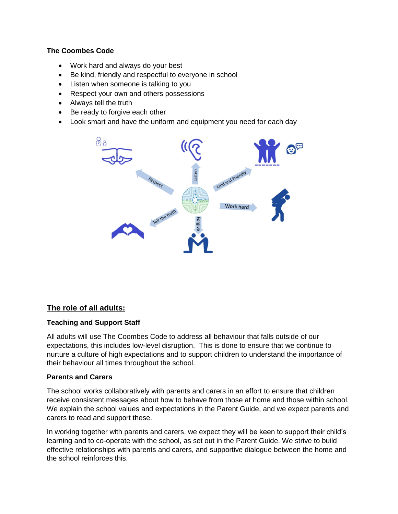## **The Coombes Code**

- Work hard and always do your best
- Be kind, friendly and respectful to everyone in school
- Listen when someone is talking to you
- Respect your own and others possessions
- Always tell the truth
- Be ready to forgive each other
- Look smart and have the uniform and equipment you need for each day



# **The role of all adults:**

## **Teaching and Support Staff**

All adults will use The Coombes Code to address all behaviour that falls outside of our expectations, this includes low-level disruption. This is done to ensure that we continue to nurture a culture of high expectations and to support children to understand the importance of their behaviour all times throughout the school.

## **Parents and Carers**

The school works collaboratively with parents and carers in an effort to ensure that children receive consistent messages about how to behave from those at home and those within school. We explain the school values and expectations in the Parent Guide, and we expect parents and carers to read and support these.

In working together with parents and carers, we expect they will be keen to support their child's learning and to co-operate with the school, as set out in the Parent Guide. We strive to build effective relationships with parents and carers, and supportive dialogue between the home and the school reinforces this.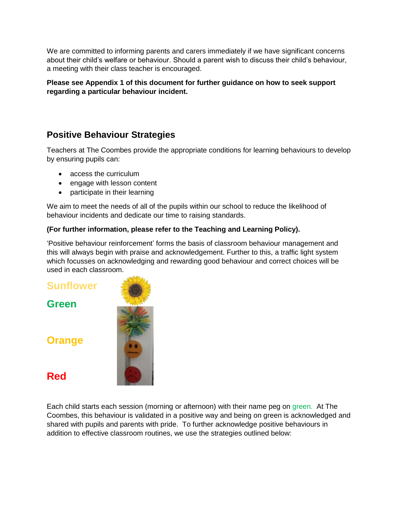We are committed to informing parents and carers immediately if we have significant concerns about their child's welfare or behaviour. Should a parent wish to discuss their child's behaviour, a meeting with their class teacher is encouraged.

**Please see Appendix 1 of this document for further guidance on how to seek support regarding a particular behaviour incident.** 

# **Positive Behaviour Strategies**

Teachers at The Coombes provide the appropriate conditions for learning behaviours to develop by ensuring pupils can:

- access the curriculum
- engage with lesson content
- participate in their learning

We aim to meet the needs of all of the pupils within our school to reduce the likelihood of behaviour incidents and dedicate our time to raising standards.

# **(For further information, please refer to the Teaching and Learning Policy).**

'Positive behaviour reinforcement' forms the basis of classroom behaviour management and this will always begin with praise and acknowledgement. Further to this, a traffic light system which focusses on acknowledging and rewarding good behaviour and correct choices will be used in each classroom.

**Sunflower Green Orange**

**Red**



Each child starts each session (morning or afternoon) with their name peg on green. At The Coombes, this behaviour is validated in a positive way and being on green is acknowledged and shared with pupils and parents with pride. To further acknowledge positive behaviours in addition to effective classroom routines, we use the strategies outlined below: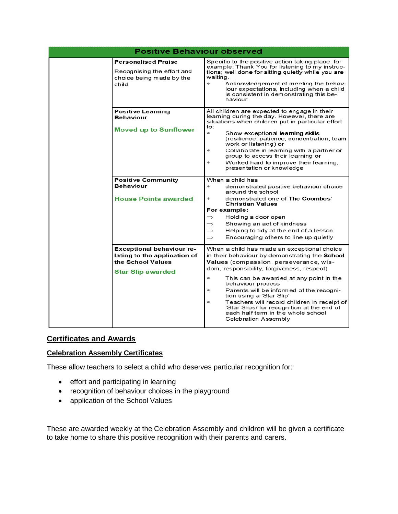| <b>Positive Behaviour observed</b> |                                                                                                                   |                                                                                                                                                                                                                                                                                                                                                                                                                                                                                                                               |  |
|------------------------------------|-------------------------------------------------------------------------------------------------------------------|-------------------------------------------------------------------------------------------------------------------------------------------------------------------------------------------------------------------------------------------------------------------------------------------------------------------------------------------------------------------------------------------------------------------------------------------------------------------------------------------------------------------------------|--|
|                                    | <b>Personalised Praise</b><br>Recognising the effort and<br>choice being made by the<br>child                     | Specific to the positive action taking place, for<br>example: Thank You for listening to my instruc-<br>tions; well done for sitting quietly while you are<br>waiting.<br>$\ast$<br>Acknowledgement of meeting the behav-<br>iour expectations, including when a child<br>is consistent in demonstrating this be-<br>haviour                                                                                                                                                                                                  |  |
|                                    | <b>Positive Learning</b><br>Behaviour<br><b>Moved up to Sunflower</b>                                             | All children are expected to engage in their<br>learning during the day. However, there are<br>situations when children put in particular effort<br>to:<br>$\ast$<br>Show exceptional learning skills<br>(resilience, patience, concentration, team<br>work or listening) or<br>Collaborate in learning with a partner or<br>$\frac{1}{2}$<br>group to access their learning or<br>Worked hard to improve their learning,<br>$\ast$<br>presentation or knowledge                                                              |  |
|                                    | <b>Positive Community</b><br><b>Behaviour</b><br><b>House Points awarded</b>                                      | When a child has<br>$\frac{1}{2}$<br>demonstrated positive behaviour choice<br>around the school<br>demonstrated one of The Coombes'<br>$\ast$<br><b>Christian Values</b><br>For example:<br>Holding a door open<br>$\Rightarrow$<br>Showing an act of kindness<br>$\Rightarrow$<br>Helping to tidy at the end of a lesson<br>$\Rightarrow$<br>Encouraging others to line up quietly<br>$\Rightarrow$                                                                                                                         |  |
|                                    | <b>Exceptional behaviour re-</b><br>lating to the application of<br>the School Values<br><b>Star Slip awarded</b> | When a child has made an exceptional choice<br>in their behaviour by demonstrating the School<br>Values (compassion, perseverance, wis-<br>dom, responsibility, forgiveness, respect)<br>$\ast$<br>This can be awarded at any point in the<br>behaviour process<br>Parents will be informed of the recogni-<br>$\ast$<br>tion using a 'Star Slip'<br>Teachers will record children in receipt of<br>$\frac{1}{2}$<br>'Star Slips/ for recognition at the end of<br>each half term in the whole school<br>Celebration Assembly |  |

# **Certificates and Awards**

# **Celebration Assembly Certificates**

These allow teachers to select a child who deserves particular recognition for:

- effort and participating in learning
- recognition of behaviour choices in the playground
- application of the School Values

These are awarded weekly at the Celebration Assembly and children will be given a certificate to take home to share this positive recognition with their parents and carers.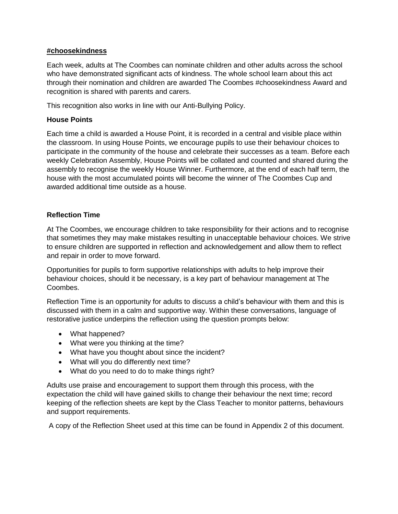#### **#choosekindness**

Each week, adults at The Coombes can nominate children and other adults across the school who have demonstrated significant acts of kindness. The whole school learn about this act through their nomination and children are awarded The Coombes #choosekindness Award and recognition is shared with parents and carers.

This recognition also works in line with our Anti-Bullying Policy.

#### **House Points**

Each time a child is awarded a House Point, it is recorded in a central and visible place within the classroom. In using House Points, we encourage pupils to use their behaviour choices to participate in the community of the house and celebrate their successes as a team. Before each weekly Celebration Assembly, House Points will be collated and counted and shared during the assembly to recognise the weekly House Winner. Furthermore, at the end of each half term, the house with the most accumulated points will become the winner of The Coombes Cup and awarded additional time outside as a house.

#### **Reflection Time**

At The Coombes, we encourage children to take responsibility for their actions and to recognise that sometimes they may make mistakes resulting in unacceptable behaviour choices. We strive to ensure children are supported in reflection and acknowledgement and allow them to reflect and repair in order to move forward.

Opportunities for pupils to form supportive relationships with adults to help improve their behaviour choices, should it be necessary, is a key part of behaviour management at The Coombes.

Reflection Time is an opportunity for adults to discuss a child's behaviour with them and this is discussed with them in a calm and supportive way. Within these conversations, language of restorative justice underpins the reflection using the question prompts below:

- What happened?
- What were you thinking at the time?
- What have you thought about since the incident?
- What will you do differently next time?
- What do you need to do to make things right?

Adults use praise and encouragement to support them through this process, with the expectation the child will have gained skills to change their behaviour the next time; record keeping of the reflection sheets are kept by the Class Teacher to monitor patterns, behaviours and support requirements.

A copy of the Reflection Sheet used at this time can be found in Appendix 2 of this document.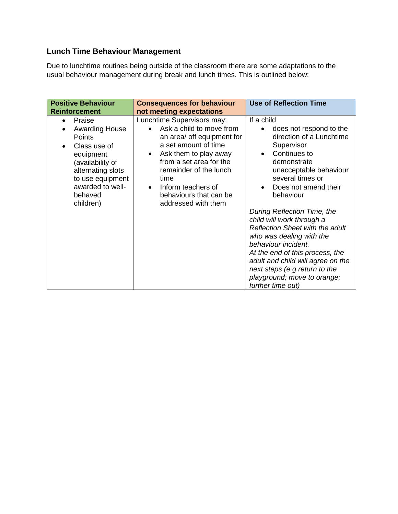# **Lunch Time Behaviour Management**

Due to lunchtime routines being outside of the classroom there are some adaptations to the usual behaviour management during break and lunch times. This is outlined below:

| <b>Positive Behaviour</b><br><b>Reinforcement</b>                                                                                                                                      | <b>Consequences for behaviour</b><br>not meeting expectations                                                                                                                                                                                                                          | <b>Use of Reflection Time</b>                                                                                                                                                                                                                                                                                      |
|----------------------------------------------------------------------------------------------------------------------------------------------------------------------------------------|----------------------------------------------------------------------------------------------------------------------------------------------------------------------------------------------------------------------------------------------------------------------------------------|--------------------------------------------------------------------------------------------------------------------------------------------------------------------------------------------------------------------------------------------------------------------------------------------------------------------|
| Praise<br><b>Awarding House</b><br><b>Points</b><br>Class use of<br>equipment<br>(availability of<br>alternating slots<br>to use equipment<br>awarded to well-<br>behaved<br>children) | Lunchtime Supervisors may:<br>Ask a child to move from<br>an area/ off equipment for<br>a set amount of time<br>Ask them to play away<br>$\bullet$<br>from a set area for the<br>remainder of the lunch<br>time<br>Inform teachers of<br>behaviours that can be<br>addressed with them | If a child<br>does not respond to the<br>direction of a Lunchtime<br>Supervisor<br>Continues to<br>demonstrate<br>unacceptable behaviour<br>several times or<br>Does not amend their<br>behaviour                                                                                                                  |
|                                                                                                                                                                                        |                                                                                                                                                                                                                                                                                        | During Reflection Time, the<br>child will work through a<br><b>Reflection Sheet with the adult</b><br>who was dealing with the<br>behaviour incident.<br>At the end of this process, the<br>adult and child will agree on the<br>next steps (e.g return to the<br>playground; move to orange;<br>further time out) |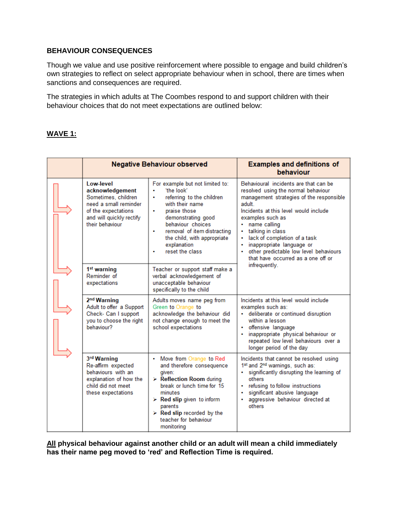# **BEHAVIOUR CONSEQUENCES**

Though we value and use positive reinforcement where possible to engage and build children's own strategies to reflect on select appropriate behaviour when in school, there are times when sanctions and consequences are required.

The strategies in which adults at The Coombes respond to and support children with their behaviour choices that do not meet expectations are outlined below:

## **WAVE 1:**

| <b>Negative Behaviour observed</b>                                                                                                                 |                                                                                                                                                                                                                                                                                                  | <b>Examples and definitions of</b><br>behaviour                                                                                                                                                                                                                                                                                                                                        |
|----------------------------------------------------------------------------------------------------------------------------------------------------|--------------------------------------------------------------------------------------------------------------------------------------------------------------------------------------------------------------------------------------------------------------------------------------------------|----------------------------------------------------------------------------------------------------------------------------------------------------------------------------------------------------------------------------------------------------------------------------------------------------------------------------------------------------------------------------------------|
| Low-level<br>acknowledgement<br>Sometimes, children<br>need a small reminder<br>of the expectations<br>and will quickly rectify<br>their behaviour | For example but not limited to:<br>'the look'<br>÷<br>referring to the children<br>with their name<br>praise those<br>٠<br>demonstrating good<br>behaviour choices<br>removal of item distracting<br>٠<br>the child, with appropriate<br>explanation<br>reset the class                          | Behavioural incidents are that can be<br>resolved using the normal behaviour<br>management strategies of the responsible<br>adult<br>Incidents at this level would include<br>examples such as<br>• name calling<br>talking in class<br>lack of completion of a task<br>inappropriate language or<br>other predictable low level behaviours<br>٠<br>that have occurred as a one off or |
| 1 <sup>st</sup> warning<br>Reminder of<br>expectations                                                                                             | Teacher or support staff make a<br>verbal acknowledgement of<br>unacceptable behaviour<br>specifically to the child                                                                                                                                                                              | infrequently.                                                                                                                                                                                                                                                                                                                                                                          |
| 2 <sup>nd</sup> Warning<br>Adult to offer a Support<br>Check- Can I support<br>you to choose the right<br>behaviour?                               | Adults moves name peg from<br>Green to Orange to<br>acknowledge the behaviour did<br>not change enough to meet the<br>school expectations                                                                                                                                                        | Incidents at this level would include<br>examples such as:<br>· deliberate or continued disruption<br>within a lesson<br>offensive language<br>inappropriate physical behaviour or<br>٠<br>repeated low level behaviours over a<br>longer period of the day                                                                                                                            |
| 3rd Warning<br>Re-affirm expected<br>behaviours with an<br>explanation of how the<br>child did not meet<br>these expectations                      | • Move from Orange to Red<br>and therefore consequence<br>given:<br>$\triangleright$ Reflection Room during<br>break or lunch time for 15<br>minutes<br>$\triangleright$ Red slip given to inform<br>parents<br>$\triangleright$ Red slip recorded by the<br>teacher for behaviour<br>monitoring | Incidents that cannot be resolved using<br>1st and 2 <sup>nd</sup> warnings, such as:<br>significantly disrupting the learning of<br>٠<br>others<br>refusing to follow instructions<br>significant abusive language<br>aggressive behaviour directed at<br>٠<br>others                                                                                                                 |

**All physical behaviour against another child or an adult will mean a child immediately has their name peg moved to 'red' and Reflection Time is required.**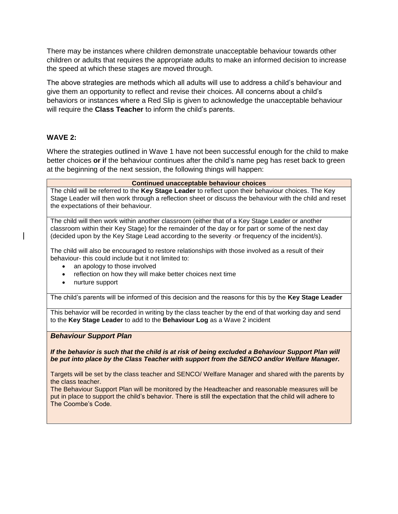There may be instances where children demonstrate unacceptable behaviour towards other children or adults that requires the appropriate adults to make an informed decision to increase the speed at which these stages are moved through.

The above strategies are methods which all adults will use to address a child's behaviour and give them an opportunity to reflect and revise their choices. All concerns about a child's behaviors or instances where a Red Slip is given to acknowledge the unacceptable behaviour will require the **Class Teacher** to inform the child's parents.

#### **WAVE 2:**

Where the strategies outlined in Wave 1 have not been successful enough for the child to make better choices **or i**f the behaviour continues after the child's name peg has reset back to green at the beginning of the next session, the following things will happen:

| <b>Continued unacceptable behaviour choices</b>                                                                                                                                                                                                                                                                                                                |  |
|----------------------------------------------------------------------------------------------------------------------------------------------------------------------------------------------------------------------------------------------------------------------------------------------------------------------------------------------------------------|--|
| The child will be referred to the Key Stage Leader to reflect upon their behaviour choices. The Key<br>Stage Leader will then work through a reflection sheet or discuss the behaviour with the child and reset<br>the expectations of their behaviour.                                                                                                        |  |
| The child will then work within another classroom (either that of a Key Stage Leader or another<br>classroom within their Key Stage) for the remainder of the day or for part or some of the next day<br>(decided upon by the Key Stage Lead according to the severity -or frequency of the incident/s).                                                       |  |
| The child will also be encouraged to restore relationships with those involved as a result of their<br>behaviour- this could include but it not limited to:<br>an apology to those involved<br>$\bullet$                                                                                                                                                       |  |
| reflection on how they will make better choices next time<br>$\bullet$<br>nurture support<br>$\bullet$                                                                                                                                                                                                                                                         |  |
| The child's parents will be informed of this decision and the reasons for this by the Key Stage Leader                                                                                                                                                                                                                                                         |  |
| This behavior will be recorded in writing by the class teacher by the end of that working day and send<br>to the Key Stage Leader to add to the Behaviour Log as a Wave 2 incident                                                                                                                                                                             |  |
| <b>Behaviour Support Plan</b>                                                                                                                                                                                                                                                                                                                                  |  |
| If the behavior is such that the child is at risk of being excluded a Behaviour Support Plan will<br>be put into place by the Class Teacher with support from the SENCO and/or Welfare Manager.                                                                                                                                                                |  |
| Targets will be set by the class teacher and SENCO/Welfare Manager and shared with the parents by<br>the class teacher.<br>The Behaviour Support Plan will be monitored by the Headteacher and reasonable measures will be<br>put in place to support the child's behavior. There is still the expectation that the child will adhere to<br>The Coombe's Code. |  |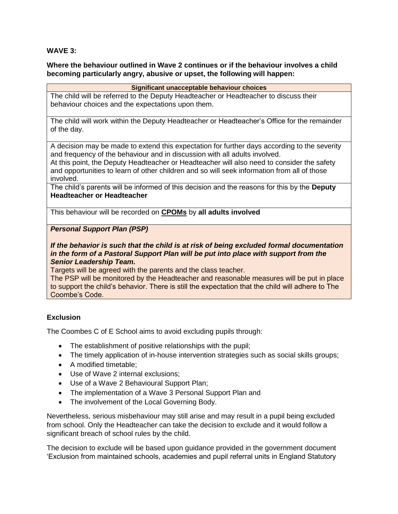#### **WAVE 3:**

#### **Where the behaviour outlined in Wave 2 continues or if the behaviour involves a child becoming particularly angry, abusive or upset, the following will happen:**

#### **Significant unacceptable behaviour choices**

The child will be referred to the Deputy Headteacher or Headteacher to discuss their behaviour choices and the expectations upon them.

The child will work within the Deputy Headteacher or Headteacher's Office for the remainder of the day.

A decision may be made to extend this expectation for further days according to the severity and frequency of the behaviour and in discussion with all adults involved.

At this point, the Deputy Headteacher or Headteacher will also need to consider the safety and opportunities to learn of other children and so will seek information from all of those involved.

The child's parents will be informed of this decision and the reasons for this by the **Deputy Headteacher or Headteacher** 

This behaviour will be recorded on **CPOMs** by **all adults involved**

*Personal Support Plan (PSP)*

#### *If the behavior is such that the child is at risk of being excluded formal documentation in the form of a Pastoral Support Plan will be put into place with support from the Senior Leadership Team.*

Targets will be agreed with the parents and the class teacher.

The PSP will be monitored by the Headteacher and reasonable measures will be put in place to support the child's behavior. There is still the expectation that the child will adhere to The Coombe's Code.

# **Exclusion**

The Coombes C of E School aims to avoid excluding pupils through:

- The establishment of positive relationships with the pupil;
- The timely application of in-house intervention strategies such as social skills groups;
- A modified timetable;
- Use of Wave 2 internal exclusions;
- Use of a Wave 2 Behavioural Support Plan;
- The implementation of a Wave 3 Personal Support Plan and
- The involvement of the Local Governing Body.

Nevertheless, serious misbehaviour may still arise and may result in a pupil being excluded from school. Only the Headteacher can take the decision to exclude and it would follow a significant breach of school rules by the child.

The decision to exclude will be based upon guidance provided in the government document 'Exclusion from maintained schools, academies and pupil referral units in England Statutory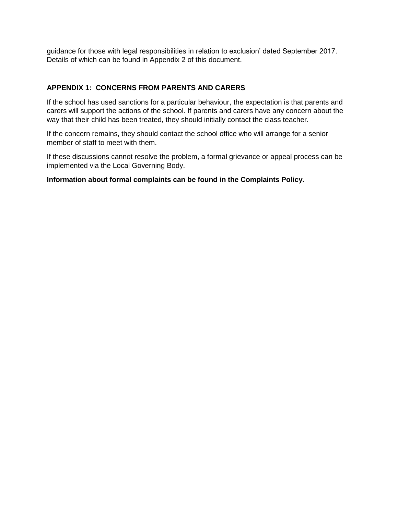guidance for those with legal responsibilities in relation to exclusion' dated September 2017. Details of which can be found in Appendix 2 of this document.

# **APPENDIX 1: CONCERNS FROM PARENTS AND CARERS**

If the school has used sanctions for a particular behaviour, the expectation is that parents and carers will support the actions of the school. If parents and carers have any concern about the way that their child has been treated, they should initially contact the class teacher.

If the concern remains, they should contact the school office who will arrange for a senior member of staff to meet with them.

If these discussions cannot resolve the problem, a formal grievance or appeal process can be implemented via the Local Governing Body.

## **Information about formal complaints can be found in the Complaints Policy.**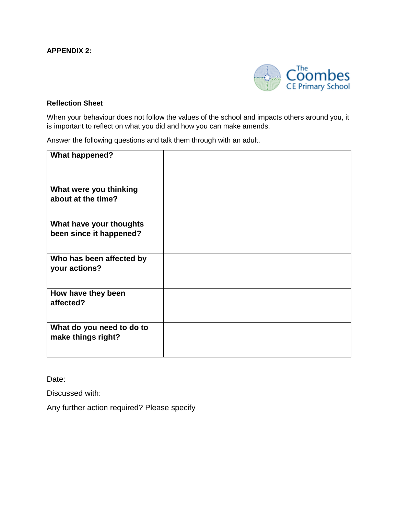## **APPENDIX 2:**



#### **Reflection Sheet**

When your behaviour does not follow the values of the school and impacts others around you, it is important to reflect on what you did and how you can make amends.

Answer the following questions and talk them through with an adult.

| <b>What happened?</b>                              |  |
|----------------------------------------------------|--|
| What were you thinking<br>about at the time?       |  |
| What have your thoughts<br>been since it happened? |  |
| Who has been affected by<br>your actions?          |  |
| How have they been<br>affected?                    |  |
| What do you need to do to<br>make things right?    |  |

Date:

Discussed with:

Any further action required? Please specify